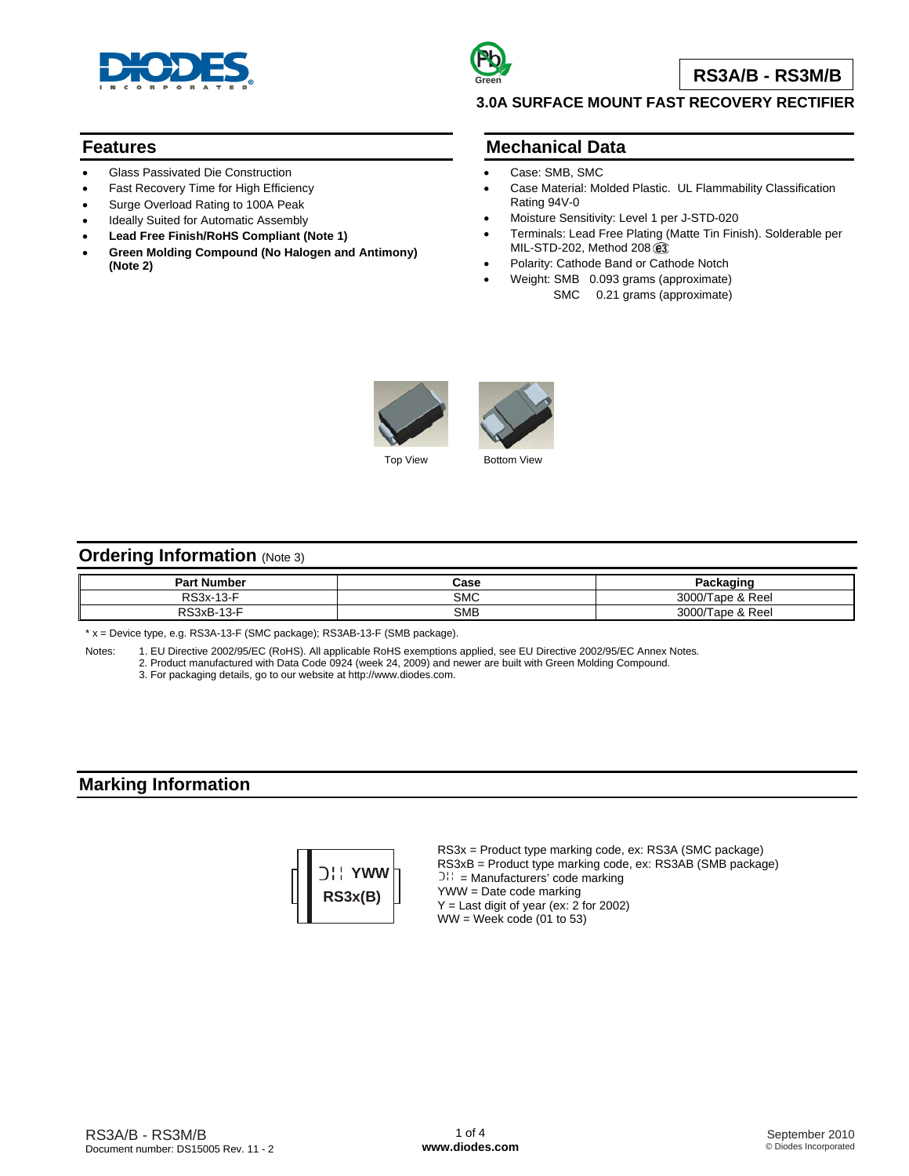

# **Green**

**RS3A/B - RS3M/B**

## **3.0A SURFACE MOUNT FAST RECOVERY RECTIFIER**

### **Features**

- Glass Passivated Die Construction
- Fast Recovery Time for High Efficiency
- Surge Overload Rating to 100A Peak
- Ideally Suited for Automatic Assembly
- **Lead Free Finish/RoHS Compliant (Note 1)**
- **Green Molding Compound (No Halogen and Antimony) (Note 2)**

## **Mechanical Data**

- Case: SMB, SMC
- Case Material: Molded Plastic. UL Flammability Classification Rating 94V-0
- Moisture Sensitivity: Level 1 per J-STD-020
- Terminals: Lead Free Plating (Matte Tin Finish). Solderable per MIL-STD-202, Method 208 e3
- Polarity: Cathode Band or Cathode Notch
	- Weight: SMB 0.093 grams (approximate) SMC 0.21 grams (approximate)



Top View **Bottom View** 

## **Ordering Information** (Note 3)

| <b>Part Number</b>                     | Case       | 'ackagino              |
|----------------------------------------|------------|------------------------|
| $\sim$ $\sim$<br>RS3x-<br>- 10-1       | SMC        | 3000/Ta<br>Tape & Reel |
| -<br>PS3xB-าJ<br>$\overline{10}$<br>-- | <b>SMB</b> | 3000/T<br>Tape & Reel  |

\* x = Device type, e.g. RS3A-13-F (SMC package); RS3AB-13-F (SMB package).

Notes: 1. EU Directive 2002/95/EC (RoHS). All applicable RoHS exemptions applied, see EU Directive 2002/95/EC Annex Notes*.*

2. Product manufactured with Data Code 0924 (week 24, 2009) and newer are built with Green Molding Compound.

3. For packaging details, go to our website at [http://www.diodes.com.](http://www.diodes.com)

## **Marking Information**



RS3x = Product type marking code, ex: RS3A (SMC package) RS3xB = Product type marking code, ex: RS3AB (SMB package)  $D_{11}$  = Manufacturers' code marking YWW = Date code marking  $Y =$  Last digit of year (ex: 2 for 2002)  $WW =$  Week code (01 to 53)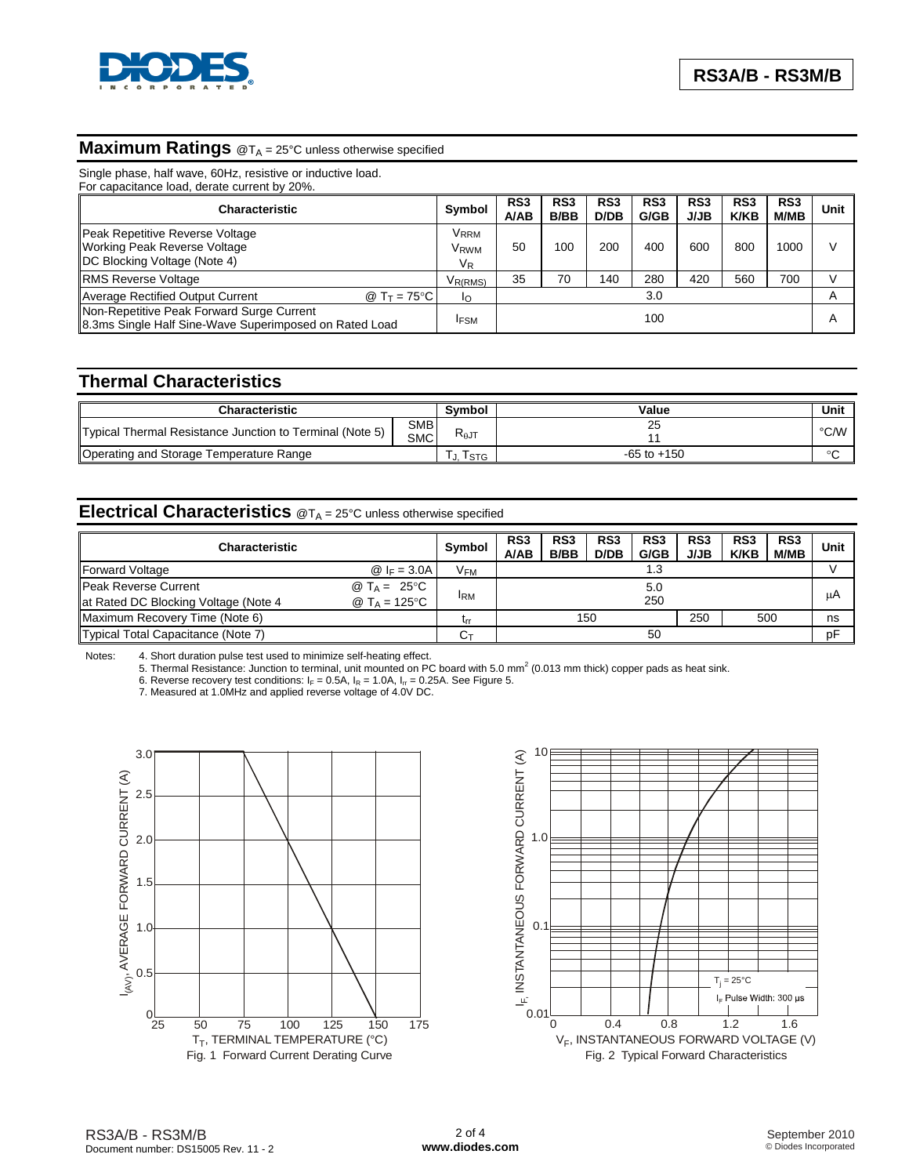

#### **Maximum Ratings** @T<sub>A</sub> = 25°C unless otherwise specified

Single phase, half wave, 60Hz, resistive or inductive load.

For capacitance load, derate current by 20%.

| Characteristic                                                                                                 | Symbol                              | RS <sub>3</sub><br><b>A/AB</b> | RS <sub>3</sub><br><b>B/BB</b> | RS <sub>3</sub><br>D/DB | RS <sub>3</sub><br>G/GB | RS <sub>3</sub><br><b>J/JB</b> | RS <sub>3</sub><br><b>K/KB</b> | RS <sub>3</sub><br>M/MB | Unit           |
|----------------------------------------------------------------------------------------------------------------|-------------------------------------|--------------------------------|--------------------------------|-------------------------|-------------------------|--------------------------------|--------------------------------|-------------------------|----------------|
| Peak Repetitive Reverse Voltage<br><b>Working Peak Reverse Voltage</b><br><b>IDC Blocking Voltage (Note 4)</b> | Vrrm<br>V <sub>RWM</sub><br>$V_{R}$ | 50                             | 100                            | 200                     | 400                     | 600                            | 800                            | 1000                    |                |
| <b>RMS Reverse Voltage</b>                                                                                     | V <sub>R(RMS)</sub>                 | 35                             | 70                             | 140                     | 280                     | 420                            | 560                            | 700                     |                |
| Average Rectified Output Current<br>@ T $\tau$ = 75°C l                                                        | Io                                  |                                |                                |                         | 3.0                     |                                |                                |                         |                |
| Non-Repetitive Peak Forward Surge Current<br>8.3ms Single Half Sine-Wave Superimposed on Rated Load            |                                     |                                |                                |                         | 100                     |                                |                                |                         | $\overline{A}$ |

#### **Thermal Characteristics**

| Characteristic                                           |                          | Svmbol | Value           | Unit   |
|----------------------------------------------------------|--------------------------|--------|-----------------|--------|
| Typical Thermal Resistance Junction to Terminal (Note 5) | <b>SMB</b><br><b>SMC</b> | K⊕JT   |                 | °C/W∥  |
| Operating and Storage Temperature Range                  |                          | I STG  | $-65$ to $+150$ | $\sim$ |

## **Electrical Characteristics** @TA = 25°C unless otherwise specified

| <b>Characteristic</b>                |                       | <b>Symbol</b>         | RS <sub>3</sub><br><b>A/AB</b> | RS <sub>3</sub><br><b>B/BB</b> | RS <sub>3</sub><br>D/DB | RS <sub>3</sub><br>G/GB | RS <sub>3</sub><br><b>J/JB</b> | RS <sub>3</sub><br><b>K/KB</b> | RS3<br><b>M/MB</b> | Unit |
|--------------------------------------|-----------------------|-----------------------|--------------------------------|--------------------------------|-------------------------|-------------------------|--------------------------------|--------------------------------|--------------------|------|
| Forward Voltage                      | $@$ IF = 3.0A         | <b>V<sub>FM</sub></b> |                                |                                |                         | 1.3                     |                                |                                |                    |      |
| <b>IPeak Reverse Current</b>         | @ $T_A = 25^{\circ}C$ |                       |                                |                                |                         | 5.0                     |                                |                                |                    |      |
| at Rated DC Blocking Voltage (Note 4 | @ $T_A = 125$ °C      | <b>IRM</b>            |                                |                                |                         | 250                     |                                |                                |                    | μA   |
| Maximum Recovery Time (Note 6)       |                       | lrr                   |                                |                                | 150                     |                         | 250                            |                                | 500                | ns   |
| Typical Total Capacitance (Note 7)   |                       | Cт                    |                                |                                |                         | 50                      |                                |                                |                    | pF   |

Notes: 4. Short duration pulse test used to minimize self-heating effect.<br>5. Thermal Resistance: Junction to terminal, unit mounted on PC board with 5.0 mm<sup>2</sup> (0.013 mm thick) copper pads as heat sink.

6. Reverse recovery test conditions:  $I_F = 0.5A$ ,  $I_R = 1.0A$ ,  $I_{rr} = 0.25A$ . See Figure 5.

7. Measured at 1.0MHz and applied reverse voltage of 4.0V DC.



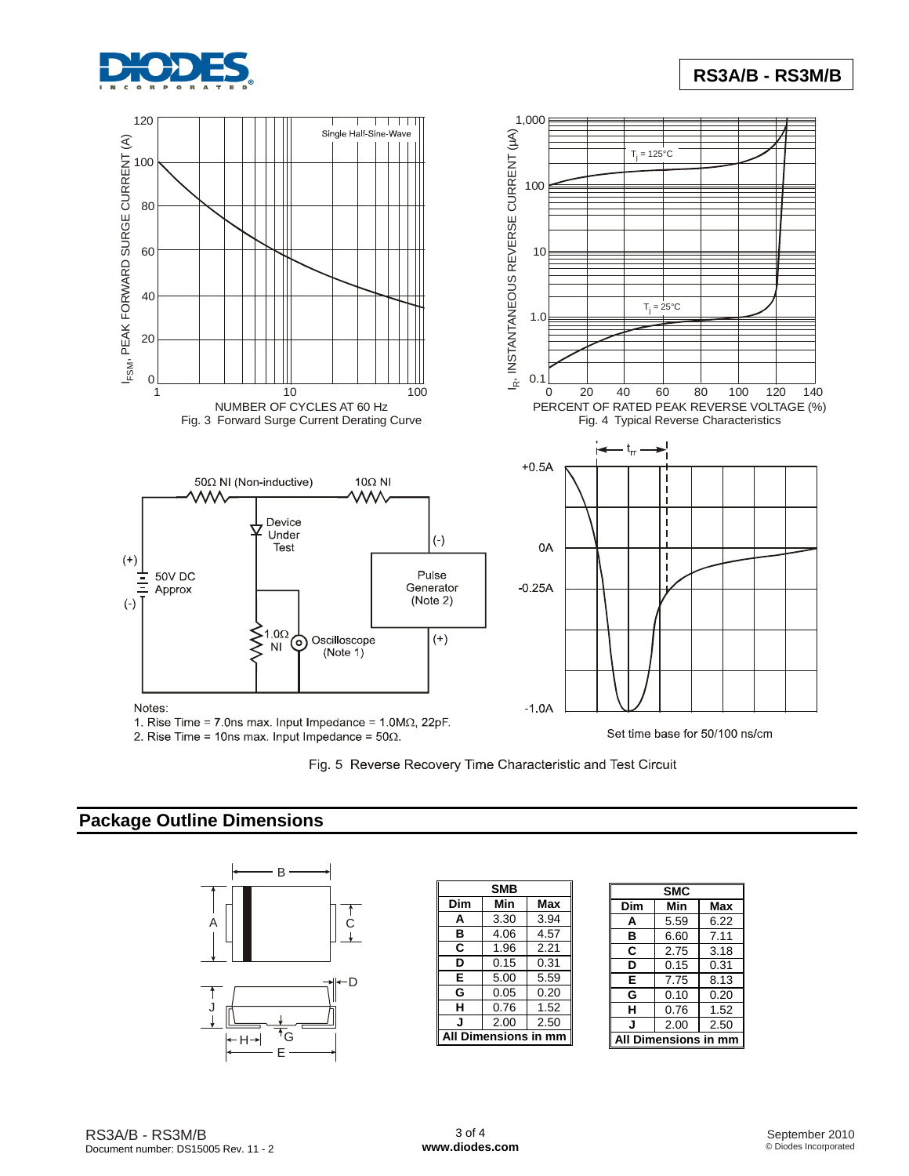

# **RS3A/B - RS3M/B**



2. Rise Time = 10ns max. Input Impedance =  $50\Omega$ .

Fig. 5 Reverse Recovery Time Characteristic and Test Circuit

## **Package Outline Dimensions**



|                  | <b>SMB</b> |      |  |  |  |
|------------------|------------|------|--|--|--|
| Dim              | Min        | Max  |  |  |  |
| Α                | 3.30       | 3.94 |  |  |  |
| в                | 4.06       | 4.57 |  |  |  |
| C                | 1.96       | 2.21 |  |  |  |
| D                | 0.15       | 0.31 |  |  |  |
| E                | 5.00       | 5.59 |  |  |  |
| G                | 0.05       | 0.20 |  |  |  |
| н                | 0.76       | 1.52 |  |  |  |
| J                | 2.00       | 2.50 |  |  |  |
| Dimensions in mm |            |      |  |  |  |
|                  |            |      |  |  |  |

| <b>SMC</b>  |      |      |  |  |  |
|-------------|------|------|--|--|--|
| Dim         | Min  | Max  |  |  |  |
| A           | 5.59 | 6.22 |  |  |  |
| в           | 6.60 | 7.11 |  |  |  |
| C           | 2.75 | 3.18 |  |  |  |
| D           | 0.15 | 0.31 |  |  |  |
| E           | 7.75 | 8.13 |  |  |  |
| G           | 0.10 | 0.20 |  |  |  |
| н           | 0.76 | 1.52 |  |  |  |
| J           | 2.00 | 2.50 |  |  |  |
| mensions in |      |      |  |  |  |